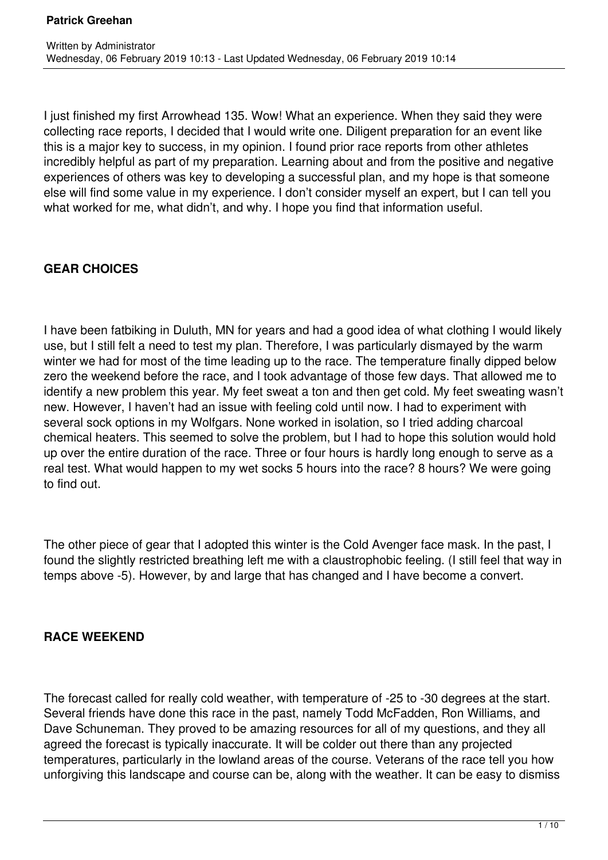I just finished my first Arrowhead 135. Wow! What an experience. When they said they were collecting race reports, I decided that I would write one. Diligent preparation for an event like this is a major key to success, in my opinion. I found prior race reports from other athletes incredibly helpful as part of my preparation. Learning about and from the positive and negative experiences of others was key to developing a successful plan, and my hope is that someone else will find some value in my experience. I don't consider myself an expert, but I can tell you what worked for me, what didn't, and why. I hope you find that information useful.

## **GEAR CHOICES**

I have been fatbiking in Duluth, MN for years and had a good idea of what clothing I would likely use, but I still felt a need to test my plan. Therefore, I was particularly dismayed by the warm winter we had for most of the time leading up to the race. The temperature finally dipped below zero the weekend before the race, and I took advantage of those few days. That allowed me to identify a new problem this year. My feet sweat a ton and then get cold. My feet sweating wasn't new. However, I haven't had an issue with feeling cold until now. I had to experiment with several sock options in my Wolfgars. None worked in isolation, so I tried adding charcoal chemical heaters. This seemed to solve the problem, but I had to hope this solution would hold up over the entire duration of the race. Three or four hours is hardly long enough to serve as a real test. What would happen to my wet socks 5 hours into the race? 8 hours? We were going to find out.

The other piece of gear that I adopted this winter is the Cold Avenger face mask. In the past, I found the slightly restricted breathing left me with a claustrophobic feeling. (I still feel that way in temps above -5). However, by and large that has changed and I have become a convert.

### **RACE WEEKEND**

The forecast called for really cold weather, with temperature of -25 to -30 degrees at the start. Several friends have done this race in the past, namely Todd McFadden, Ron Williams, and Dave Schuneman. They proved to be amazing resources for all of my questions, and they all agreed the forecast is typically inaccurate. It will be colder out there than any projected temperatures, particularly in the lowland areas of the course. Veterans of the race tell you how unforgiving this landscape and course can be, along with the weather. It can be easy to dismiss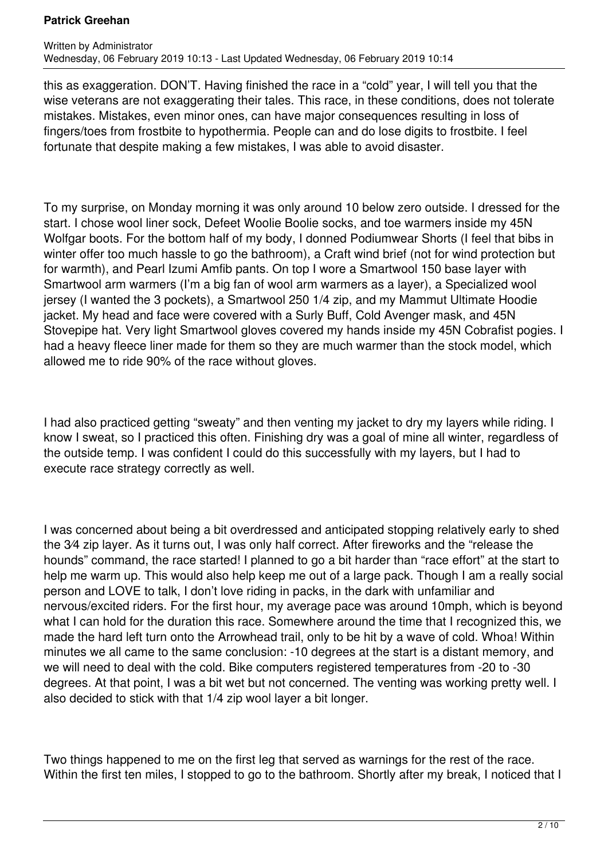this as exaggeration. DON'T. Having finished the race in a "cold" year, I will tell you that the wise veterans are not exaggerating their tales. This race, in these conditions, does not tolerate mistakes. Mistakes, even minor ones, can have major consequences resulting in loss of fingers/toes from frostbite to hypothermia. People can and do lose digits to frostbite. I feel fortunate that despite making a few mistakes, I was able to avoid disaster.

To my surprise, on Monday morning it was only around 10 below zero outside. I dressed for the start. I chose wool liner sock, Defeet Woolie Boolie socks, and toe warmers inside my 45N Wolfgar boots. For the bottom half of my body, I donned Podiumwear Shorts (I feel that bibs in winter offer too much hassle to go the bathroom), a Craft wind brief (not for wind protection but for warmth), and Pearl Izumi Amfib pants. On top I wore a Smartwool 150 base layer with Smartwool arm warmers (I'm a big fan of wool arm warmers as a layer), a Specialized wool jersey (I wanted the 3 pockets), a Smartwool 250 1/4 zip, and my Mammut Ultimate Hoodie jacket. My head and face were covered with a Surly Buff, Cold Avenger mask, and 45N Stovepipe hat. Very light Smartwool gloves covered my hands inside my 45N Cobrafist pogies. I had a heavy fleece liner made for them so they are much warmer than the stock model, which allowed me to ride 90% of the race without gloves.

I had also practiced getting "sweaty" and then venting my jacket to dry my layers while riding. I know I sweat, so I practiced this often. Finishing dry was a goal of mine all winter, regardless of the outside temp. I was confident I could do this successfully with my layers, but I had to execute race strategy correctly as well.

I was concerned about being a bit overdressed and anticipated stopping relatively early to shed the 3⁄4 zip layer. As it turns out, I was only half correct. After fireworks and the "release the hounds" command, the race started! I planned to go a bit harder than "race effort" at the start to help me warm up. This would also help keep me out of a large pack. Though I am a really social person and LOVE to talk, I don't love riding in packs, in the dark with unfamiliar and nervous/excited riders. For the first hour, my average pace was around 10mph, which is beyond what I can hold for the duration this race. Somewhere around the time that I recognized this, we made the hard left turn onto the Arrowhead trail, only to be hit by a wave of cold. Whoa! Within minutes we all came to the same conclusion: -10 degrees at the start is a distant memory, and we will need to deal with the cold. Bike computers registered temperatures from -20 to -30 degrees. At that point, I was a bit wet but not concerned. The venting was working pretty well. I also decided to stick with that 1/4 zip wool layer a bit longer.

Two things happened to me on the first leg that served as warnings for the rest of the race. Within the first ten miles, I stopped to go to the bathroom. Shortly after my break, I noticed that I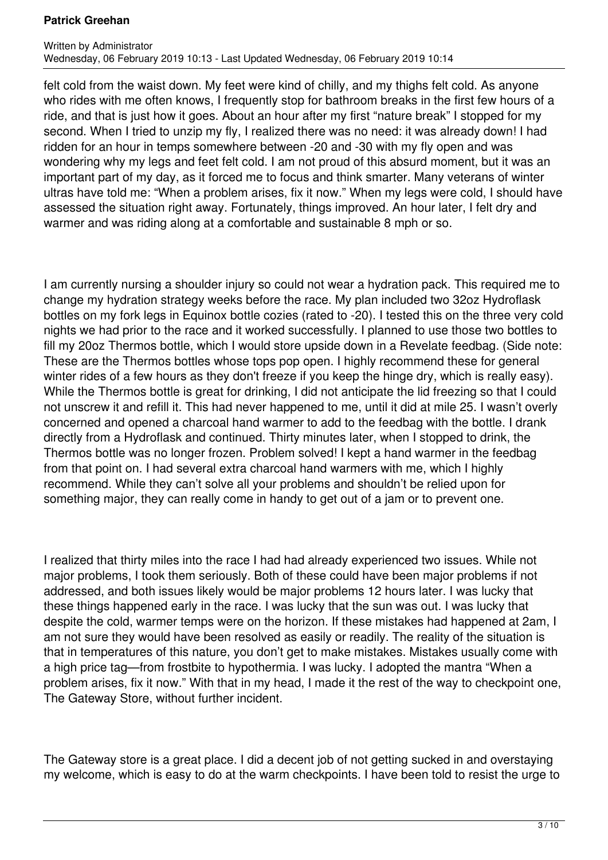felt cold from the waist down. My feet were kind of chilly, and my thighs felt cold. As anyone who rides with me often knows, I frequently stop for bathroom breaks in the first few hours of a ride, and that is just how it goes. About an hour after my first "nature break" I stopped for my second. When I tried to unzip my fly, I realized there was no need: it was already down! I had ridden for an hour in temps somewhere between -20 and -30 with my fly open and was wondering why my legs and feet felt cold. I am not proud of this absurd moment, but it was an important part of my day, as it forced me to focus and think smarter. Many veterans of winter ultras have told me: "When a problem arises, fix it now." When my legs were cold, I should have assessed the situation right away. Fortunately, things improved. An hour later, I felt dry and warmer and was riding along at a comfortable and sustainable 8 mph or so.

I am currently nursing a shoulder injury so could not wear a hydration pack. This required me to change my hydration strategy weeks before the race. My plan included two 32oz Hydroflask bottles on my fork legs in Equinox bottle cozies (rated to -20). I tested this on the three very cold nights we had prior to the race and it worked successfully. I planned to use those two bottles to fill my 20oz Thermos bottle, which I would store upside down in a Revelate feedbag. (Side note: These are the Thermos bottles whose tops pop open. I highly recommend these for general winter rides of a few hours as they don't freeze if you keep the hinge dry, which is really easy). While the Thermos bottle is great for drinking, I did not anticipate the lid freezing so that I could not unscrew it and refill it. This had never happened to me, until it did at mile 25. I wasn't overly concerned and opened a charcoal hand warmer to add to the feedbag with the bottle. I drank directly from a Hydroflask and continued. Thirty minutes later, when I stopped to drink, the Thermos bottle was no longer frozen. Problem solved! I kept a hand warmer in the feedbag from that point on. I had several extra charcoal hand warmers with me, which I highly recommend. While they can't solve all your problems and shouldn't be relied upon for something major, they can really come in handy to get out of a jam or to prevent one.

I realized that thirty miles into the race I had had already experienced two issues. While not major problems, I took them seriously. Both of these could have been major problems if not addressed, and both issues likely would be major problems 12 hours later. I was lucky that these things happened early in the race. I was lucky that the sun was out. I was lucky that despite the cold, warmer temps were on the horizon. If these mistakes had happened at 2am, I am not sure they would have been resolved as easily or readily. The reality of the situation is that in temperatures of this nature, you don't get to make mistakes. Mistakes usually come with a high price tag—from frostbite to hypothermia. I was lucky. I adopted the mantra "When a problem arises, fix it now." With that in my head, I made it the rest of the way to checkpoint one, The Gateway Store, without further incident.

The Gateway store is a great place. I did a decent job of not getting sucked in and overstaying my welcome, which is easy to do at the warm checkpoints. I have been told to resist the urge to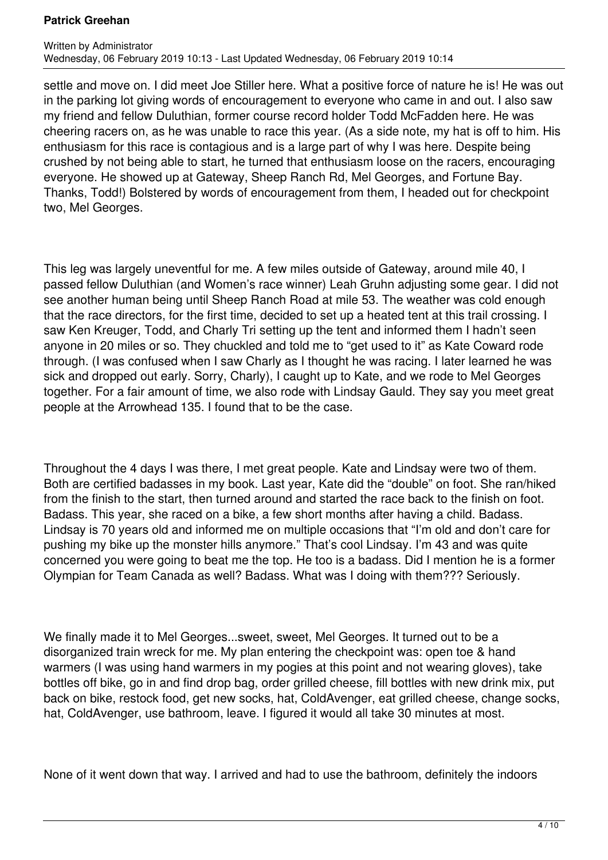settle and move on. I did meet Joe Stiller here. What a positive force of nature he is! He was out in the parking lot giving words of encouragement to everyone who came in and out. I also saw my friend and fellow Duluthian, former course record holder Todd McFadden here. He was cheering racers on, as he was unable to race this year. (As a side note, my hat is off to him. His enthusiasm for this race is contagious and is a large part of why I was here. Despite being crushed by not being able to start, he turned that enthusiasm loose on the racers, encouraging everyone. He showed up at Gateway, Sheep Ranch Rd, Mel Georges, and Fortune Bay. Thanks, Todd!) Bolstered by words of encouragement from them, I headed out for checkpoint two, Mel Georges.

This leg was largely uneventful for me. A few miles outside of Gateway, around mile 40, I passed fellow Duluthian (and Women's race winner) Leah Gruhn adjusting some gear. I did not see another human being until Sheep Ranch Road at mile 53. The weather was cold enough that the race directors, for the first time, decided to set up a heated tent at this trail crossing. I saw Ken Kreuger, Todd, and Charly Tri setting up the tent and informed them I hadn't seen anyone in 20 miles or so. They chuckled and told me to "get used to it" as Kate Coward rode through. (I was confused when I saw Charly as I thought he was racing. I later learned he was sick and dropped out early. Sorry, Charly), I caught up to Kate, and we rode to Mel Georges together. For a fair amount of time, we also rode with Lindsay Gauld. They say you meet great people at the Arrowhead 135. I found that to be the case.

Throughout the 4 days I was there, I met great people. Kate and Lindsay were two of them. Both are certified badasses in my book. Last year, Kate did the "double" on foot. She ran/hiked from the finish to the start, then turned around and started the race back to the finish on foot. Badass. This year, she raced on a bike, a few short months after having a child. Badass. Lindsay is 70 years old and informed me on multiple occasions that "I'm old and don't care for pushing my bike up the monster hills anymore." That's cool Lindsay. I'm 43 and was quite concerned you were going to beat me the top. He too is a badass. Did I mention he is a former Olympian for Team Canada as well? Badass. What was I doing with them??? Seriously.

We finally made it to Mel Georges...sweet, sweet, Mel Georges. It turned out to be a disorganized train wreck for me. My plan entering the checkpoint was: open toe & hand warmers (I was using hand warmers in my pogies at this point and not wearing gloves), take bottles off bike, go in and find drop bag, order grilled cheese, fill bottles with new drink mix, put back on bike, restock food, get new socks, hat, ColdAvenger, eat grilled cheese, change socks, hat, ColdAvenger, use bathroom, leave. I figured it would all take 30 minutes at most.

None of it went down that way. I arrived and had to use the bathroom, definitely the indoors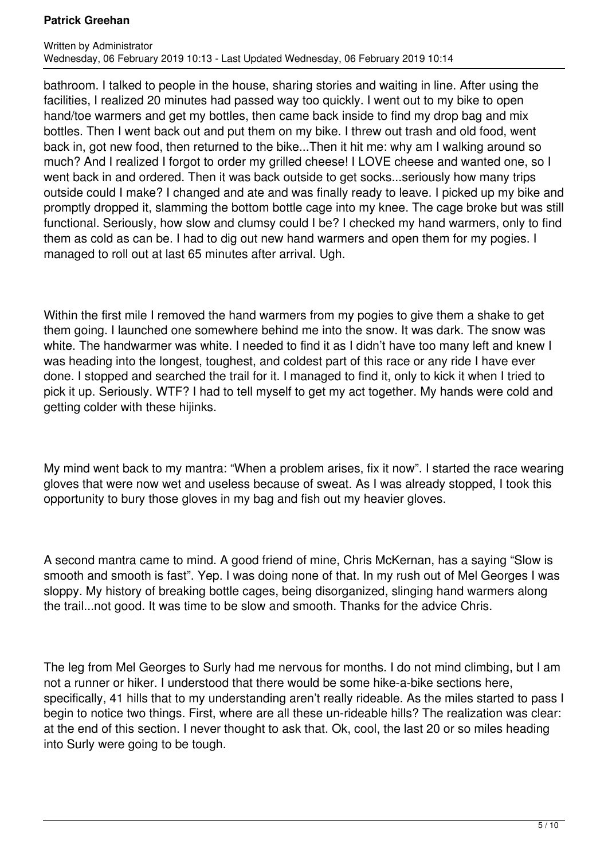bathroom. I talked to people in the house, sharing stories and waiting in line. After using the facilities, I realized 20 minutes had passed way too quickly. I went out to my bike to open hand/toe warmers and get my bottles, then came back inside to find my drop bag and mix bottles. Then I went back out and put them on my bike. I threw out trash and old food, went back in, got new food, then returned to the bike...Then it hit me: why am I walking around so much? And I realized I forgot to order my grilled cheese! I LOVE cheese and wanted one, so I went back in and ordered. Then it was back outside to get socks...seriously how many trips outside could I make? I changed and ate and was finally ready to leave. I picked up my bike and promptly dropped it, slamming the bottom bottle cage into my knee. The cage broke but was still functional. Seriously, how slow and clumsy could I be? I checked my hand warmers, only to find them as cold as can be. I had to dig out new hand warmers and open them for my pogies. I managed to roll out at last 65 minutes after arrival. Ugh.

Within the first mile I removed the hand warmers from my pogies to give them a shake to get them going. I launched one somewhere behind me into the snow. It was dark. The snow was white. The handwarmer was white. I needed to find it as I didn't have too many left and knew I was heading into the longest, toughest, and coldest part of this race or any ride I have ever done. I stopped and searched the trail for it. I managed to find it, only to kick it when I tried to pick it up. Seriously. WTF? I had to tell myself to get my act together. My hands were cold and getting colder with these hijinks.

My mind went back to my mantra: "When a problem arises, fix it now". I started the race wearing gloves that were now wet and useless because of sweat. As I was already stopped, I took this opportunity to bury those gloves in my bag and fish out my heavier gloves.

A second mantra came to mind. A good friend of mine, Chris McKernan, has a saying "Slow is smooth and smooth is fast". Yep. I was doing none of that. In my rush out of Mel Georges I was sloppy. My history of breaking bottle cages, being disorganized, slinging hand warmers along the trail...not good. It was time to be slow and smooth. Thanks for the advice Chris.

The leg from Mel Georges to Surly had me nervous for months. I do not mind climbing, but I am not a runner or hiker. I understood that there would be some hike-a-bike sections here, specifically, 41 hills that to my understanding aren't really rideable. As the miles started to pass I begin to notice two things. First, where are all these un-rideable hills? The realization was clear: at the end of this section. I never thought to ask that. Ok, cool, the last 20 or so miles heading into Surly were going to be tough.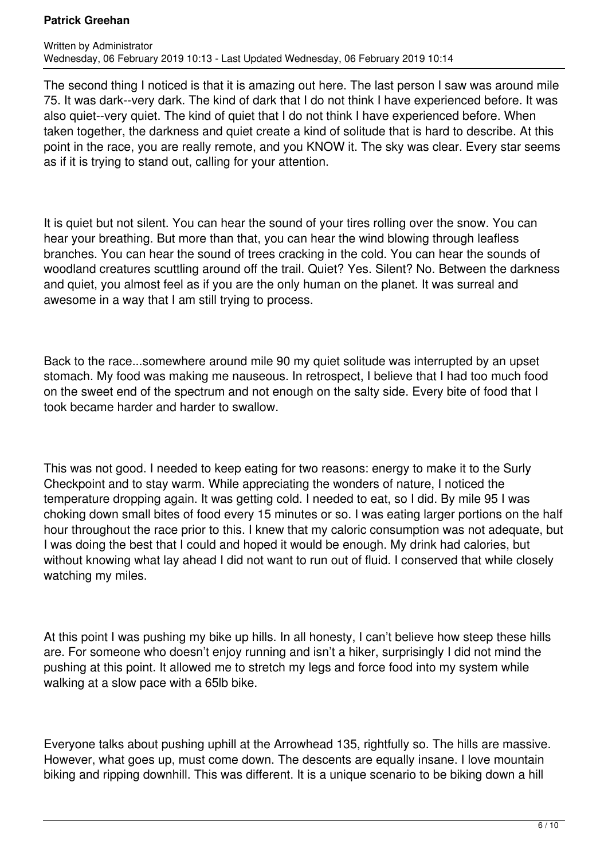The second thing I noticed is that it is amazing out here. The last person I saw was around mile 75. It was dark--very dark. The kind of dark that I do not think I have experienced before. It was also quiet--very quiet. The kind of quiet that I do not think I have experienced before. When taken together, the darkness and quiet create a kind of solitude that is hard to describe. At this point in the race, you are really remote, and you KNOW it. The sky was clear. Every star seems as if it is trying to stand out, calling for your attention.

It is quiet but not silent. You can hear the sound of your tires rolling over the snow. You can hear your breathing. But more than that, you can hear the wind blowing through leafless branches. You can hear the sound of trees cracking in the cold. You can hear the sounds of woodland creatures scuttling around off the trail. Quiet? Yes. Silent? No. Between the darkness and quiet, you almost feel as if you are the only human on the planet. It was surreal and awesome in a way that I am still trying to process.

Back to the race...somewhere around mile 90 my quiet solitude was interrupted by an upset stomach. My food was making me nauseous. In retrospect, I believe that I had too much food on the sweet end of the spectrum and not enough on the salty side. Every bite of food that I took became harder and harder to swallow.

This was not good. I needed to keep eating for two reasons: energy to make it to the Surly Checkpoint and to stay warm. While appreciating the wonders of nature, I noticed the temperature dropping again. It was getting cold. I needed to eat, so I did. By mile 95 I was choking down small bites of food every 15 minutes or so. I was eating larger portions on the half hour throughout the race prior to this. I knew that my caloric consumption was not adequate, but I was doing the best that I could and hoped it would be enough. My drink had calories, but without knowing what lay ahead I did not want to run out of fluid. I conserved that while closely watching my miles.

At this point I was pushing my bike up hills. In all honesty, I can't believe how steep these hills are. For someone who doesn't enjoy running and isn't a hiker, surprisingly I did not mind the pushing at this point. It allowed me to stretch my legs and force food into my system while walking at a slow pace with a 65lb bike.

Everyone talks about pushing uphill at the Arrowhead 135, rightfully so. The hills are massive. However, what goes up, must come down. The descents are equally insane. I love mountain biking and ripping downhill. This was different. It is a unique scenario to be biking down a hill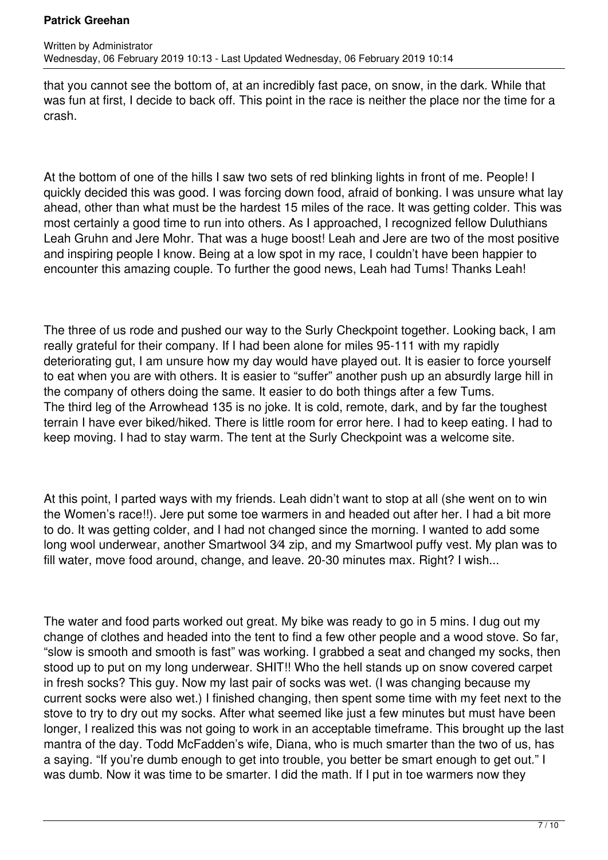that you cannot see the bottom of, at an incredibly fast pace, on snow, in the dark. While that was fun at first, I decide to back off. This point in the race is neither the place nor the time for a crash.

At the bottom of one of the hills I saw two sets of red blinking lights in front of me. People! I quickly decided this was good. I was forcing down food, afraid of bonking. I was unsure what lay ahead, other than what must be the hardest 15 miles of the race. It was getting colder. This was most certainly a good time to run into others. As I approached, I recognized fellow Duluthians Leah Gruhn and Jere Mohr. That was a huge boost! Leah and Jere are two of the most positive and inspiring people I know. Being at a low spot in my race, I couldn't have been happier to encounter this amazing couple. To further the good news, Leah had Tums! Thanks Leah!

The three of us rode and pushed our way to the Surly Checkpoint together. Looking back, I am really grateful for their company. If I had been alone for miles 95-111 with my rapidly deteriorating gut, I am unsure how my day would have played out. It is easier to force yourself to eat when you are with others. It is easier to "suffer" another push up an absurdly large hill in the company of others doing the same. It easier to do both things after a few Tums. The third leg of the Arrowhead 135 is no joke. It is cold, remote, dark, and by far the toughest terrain I have ever biked/hiked. There is little room for error here. I had to keep eating. I had to keep moving. I had to stay warm. The tent at the Surly Checkpoint was a welcome site.

At this point, I parted ways with my friends. Leah didn't want to stop at all (she went on to win the Women's race!!). Jere put some toe warmers in and headed out after her. I had a bit more to do. It was getting colder, and I had not changed since the morning. I wanted to add some long wool underwear, another Smartwool 3⁄4 zip, and my Smartwool puffy vest. My plan was to fill water, move food around, change, and leave. 20-30 minutes max. Right? I wish...

The water and food parts worked out great. My bike was ready to go in 5 mins. I dug out my change of clothes and headed into the tent to find a few other people and a wood stove. So far, "slow is smooth and smooth is fast" was working. I grabbed a seat and changed my socks, then stood up to put on my long underwear. SHIT!! Who the hell stands up on snow covered carpet in fresh socks? This guy. Now my last pair of socks was wet. (I was changing because my current socks were also wet.) I finished changing, then spent some time with my feet next to the stove to try to dry out my socks. After what seemed like just a few minutes but must have been longer, I realized this was not going to work in an acceptable timeframe. This brought up the last mantra of the day. Todd McFadden's wife, Diana, who is much smarter than the two of us, has a saying. "If you're dumb enough to get into trouble, you better be smart enough to get out." I was dumb. Now it was time to be smarter. I did the math. If I put in toe warmers now they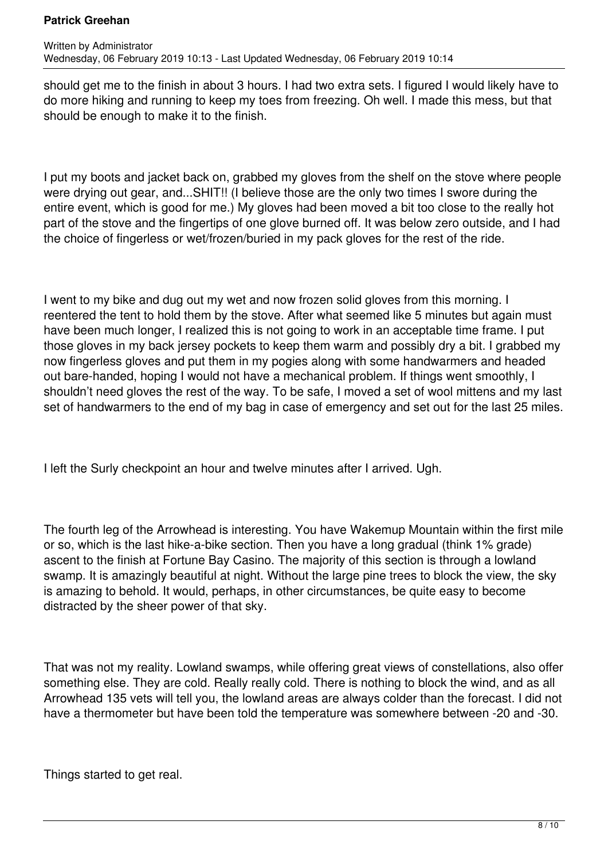should get me to the finish in about 3 hours. I had two extra sets. I figured I would likely have to do more hiking and running to keep my toes from freezing. Oh well. I made this mess, but that should be enough to make it to the finish.

I put my boots and jacket back on, grabbed my gloves from the shelf on the stove where people were drying out gear, and...SHIT!! (I believe those are the only two times I swore during the entire event, which is good for me.) My gloves had been moved a bit too close to the really hot part of the stove and the fingertips of one glove burned off. It was below zero outside, and I had the choice of fingerless or wet/frozen/buried in my pack gloves for the rest of the ride.

I went to my bike and dug out my wet and now frozen solid gloves from this morning. I reentered the tent to hold them by the stove. After what seemed like 5 minutes but again must have been much longer, I realized this is not going to work in an acceptable time frame. I put those gloves in my back jersey pockets to keep them warm and possibly dry a bit. I grabbed my now fingerless gloves and put them in my pogies along with some handwarmers and headed out bare-handed, hoping I would not have a mechanical problem. If things went smoothly, I shouldn't need gloves the rest of the way. To be safe, I moved a set of wool mittens and my last set of handwarmers to the end of my bag in case of emergency and set out for the last 25 miles.

I left the Surly checkpoint an hour and twelve minutes after I arrived. Ugh.

The fourth leg of the Arrowhead is interesting. You have Wakemup Mountain within the first mile or so, which is the last hike-a-bike section. Then you have a long gradual (think 1% grade) ascent to the finish at Fortune Bay Casino. The majority of this section is through a lowland swamp. It is amazingly beautiful at night. Without the large pine trees to block the view, the sky is amazing to behold. It would, perhaps, in other circumstances, be quite easy to become distracted by the sheer power of that sky.

That was not my reality. Lowland swamps, while offering great views of constellations, also offer something else. They are cold. Really really cold. There is nothing to block the wind, and as all Arrowhead 135 vets will tell you, the lowland areas are always colder than the forecast. I did not have a thermometer but have been told the temperature was somewhere between -20 and -30.

Things started to get real.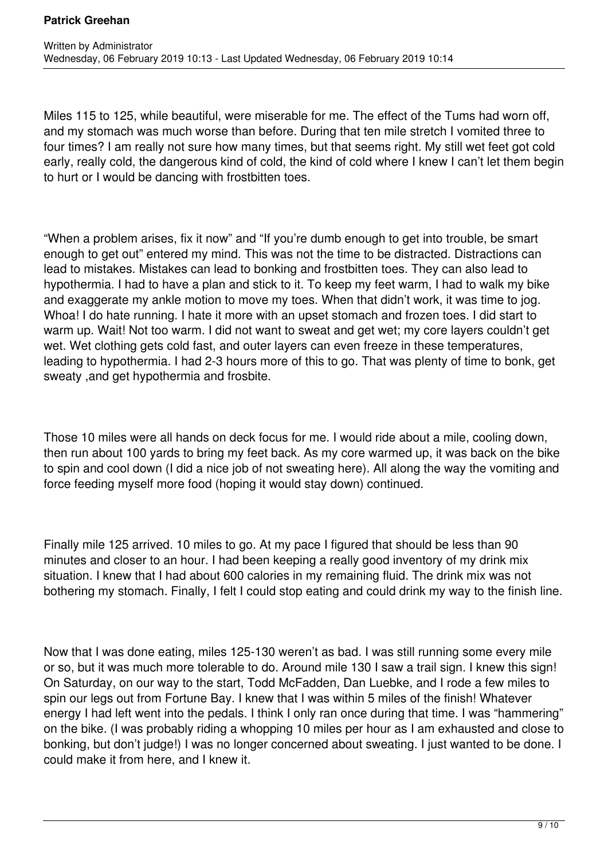Miles 115 to 125, while beautiful, were miserable for me. The effect of the Tums had worn off, and my stomach was much worse than before. During that ten mile stretch I vomited three to four times? I am really not sure how many times, but that seems right. My still wet feet got cold early, really cold, the dangerous kind of cold, the kind of cold where I knew I can't let them begin to hurt or I would be dancing with frostbitten toes.

"When a problem arises, fix it now" and "If you're dumb enough to get into trouble, be smart enough to get out" entered my mind. This was not the time to be distracted. Distractions can lead to mistakes. Mistakes can lead to bonking and frostbitten toes. They can also lead to hypothermia. I had to have a plan and stick to it. To keep my feet warm, I had to walk my bike and exaggerate my ankle motion to move my toes. When that didn't work, it was time to jog. Whoa! I do hate running. I hate it more with an upset stomach and frozen toes. I did start to warm up. Wait! Not too warm. I did not want to sweat and get wet; my core layers couldn't get wet. Wet clothing gets cold fast, and outer layers can even freeze in these temperatures, leading to hypothermia. I had 2-3 hours more of this to go. That was plenty of time to bonk, get sweaty ,and get hypothermia and frosbite.

Those 10 miles were all hands on deck focus for me. I would ride about a mile, cooling down, then run about 100 yards to bring my feet back. As my core warmed up, it was back on the bike to spin and cool down (I did a nice job of not sweating here). All along the way the vomiting and force feeding myself more food (hoping it would stay down) continued.

Finally mile 125 arrived. 10 miles to go. At my pace I figured that should be less than 90 minutes and closer to an hour. I had been keeping a really good inventory of my drink mix situation. I knew that I had about 600 calories in my remaining fluid. The drink mix was not bothering my stomach. Finally, I felt I could stop eating and could drink my way to the finish line.

Now that I was done eating, miles 125-130 weren't as bad. I was still running some every mile or so, but it was much more tolerable to do. Around mile 130 I saw a trail sign. I knew this sign! On Saturday, on our way to the start, Todd McFadden, Dan Luebke, and I rode a few miles to spin our legs out from Fortune Bay. I knew that I was within 5 miles of the finish! Whatever energy I had left went into the pedals. I think I only ran once during that time. I was "hammering" on the bike. (I was probably riding a whopping 10 miles per hour as I am exhausted and close to bonking, but don't judge!) I was no longer concerned about sweating. I just wanted to be done. I could make it from here, and I knew it.